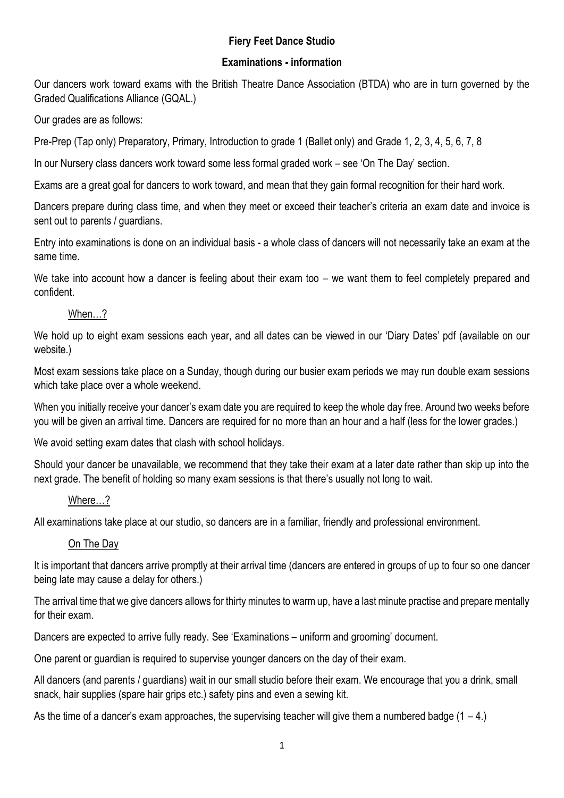## **Fiery Feet Dance Studio**

### **Examinations - information**

Our dancers work toward exams with the British Theatre Dance Association (BTDA) who are in turn governed by the Graded Qualifications Alliance (GQAL.)

Our grades are as follows:

Pre-Prep (Tap only) Preparatory, Primary, Introduction to grade 1 (Ballet only) and Grade 1, 2, 3, 4, 5, 6, 7, 8

In our Nursery class dancers work toward some less formal graded work – see 'On The Day' section.

Exams are a great goal for dancers to work toward, and mean that they gain formal recognition for their hard work.

Dancers prepare during class time, and when they meet or exceed their teacher's criteria an exam date and invoice is sent out to parents / guardians.

Entry into examinations is done on an individual basis - a whole class of dancers will not necessarily take an exam at the same time.

We take into account how a dancer is feeling about their exam too – we want them to feel completely prepared and confident.

## When…?

We hold up to eight exam sessions each year, and all dates can be viewed in our 'Diary Dates' pdf (available on our website.)

Most exam sessions take place on a Sunday, though during our busier exam periods we may run double exam sessions which take place over a whole weekend.

When you initially receive your dancer's exam date you are required to keep the whole day free. Around two weeks before you will be given an arrival time. Dancers are required for no more than an hour and a half (less for the lower grades.)

We avoid setting exam dates that clash with school holidays.

Should your dancer be unavailable, we recommend that they take their exam at a later date rather than skip up into the next grade. The benefit of holding so many exam sessions is that there's usually not long to wait.

#### Where…?

All examinations take place at our studio, so dancers are in a familiar, friendly and professional environment.

# On The Day

It is important that dancers arrive promptly at their arrival time (dancers are entered in groups of up to four so one dancer being late may cause a delay for others.)

The arrival time that we give dancers allows for thirty minutes to warm up, have a last minute practise and prepare mentally for their exam.

Dancers are expected to arrive fully ready. See 'Examinations – uniform and grooming' document.

One parent or guardian is required to supervise younger dancers on the day of their exam.

All dancers (and parents / guardians) wait in our small studio before their exam. We encourage that you a drink, small snack, hair supplies (spare hair grips etc.) safety pins and even a sewing kit.

As the time of a dancer's exam approaches, the supervising teacher will give them a numbered badge  $(1 - 4)$ .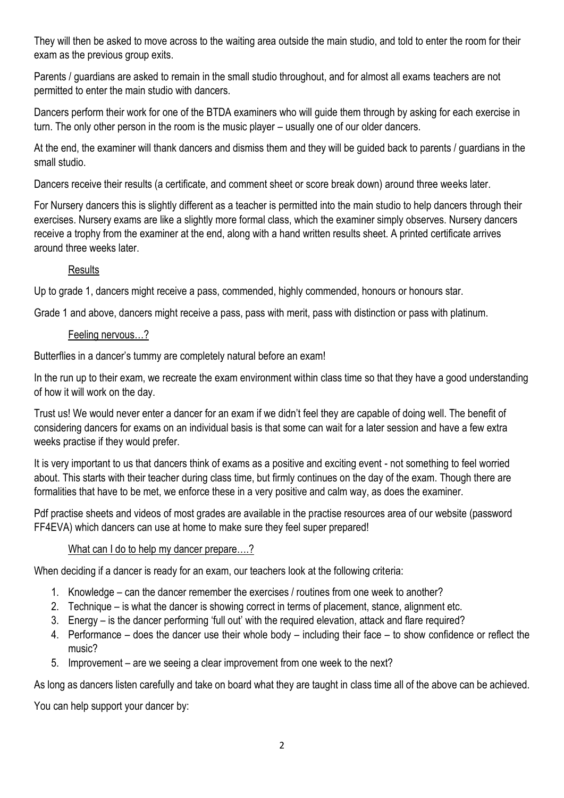They will then be asked to move across to the waiting area outside the main studio, and told to enter the room for their exam as the previous group exits.

Parents / guardians are asked to remain in the small studio throughout, and for almost all exams teachers are not permitted to enter the main studio with dancers.

Dancers perform their work for one of the BTDA examiners who will guide them through by asking for each exercise in turn. The only other person in the room is the music player – usually one of our older dancers.

At the end, the examiner will thank dancers and dismiss them and they will be guided back to parents / guardians in the small studio.

Dancers receive their results (a certificate, and comment sheet or score break down) around three weeks later.

For Nursery dancers this is slightly different as a teacher is permitted into the main studio to help dancers through their exercises. Nursery exams are like a slightly more formal class, which the examiner simply observes. Nursery dancers receive a trophy from the examiner at the end, along with a hand written results sheet. A printed certificate arrives around three weeks later.

## **Results**

Up to grade 1, dancers might receive a pass, commended, highly commended, honours or honours star.

Grade 1 and above, dancers might receive a pass, pass with merit, pass with distinction or pass with platinum.

#### Feeling nervous…?

Butterflies in a dancer's tummy are completely natural before an exam!

In the run up to their exam, we recreate the exam environment within class time so that they have a good understanding of how it will work on the day.

Trust us! We would never enter a dancer for an exam if we didn't feel they are capable of doing well. The benefit of considering dancers for exams on an individual basis is that some can wait for a later session and have a few extra weeks practise if they would prefer.

It is very important to us that dancers think of exams as a positive and exciting event - not something to feel worried about. This starts with their teacher during class time, but firmly continues on the day of the exam. Though there are formalities that have to be met, we enforce these in a very positive and calm way, as does the examiner.

Pdf practise sheets and videos of most grades are available in the practise resources area of our website (password FF4EVA) which dancers can use at home to make sure they feel super prepared!

# What can I do to help my dancer prepare....?

When deciding if a dancer is ready for an exam, our teachers look at the following criteria:

- 1. Knowledge can the dancer remember the exercises / routines from one week to another?
- 2. Technique is what the dancer is showing correct in terms of placement, stance, alignment etc.
- 3. Energy is the dancer performing 'full out' with the required elevation, attack and flare required?
- 4. Performance does the dancer use their whole body including their face to show confidence or reflect the music?
- 5. Improvement are we seeing a clear improvement from one week to the next?

As long as dancers listen carefully and take on board what they are taught in class time all of the above can be achieved.

You can help support your dancer by: